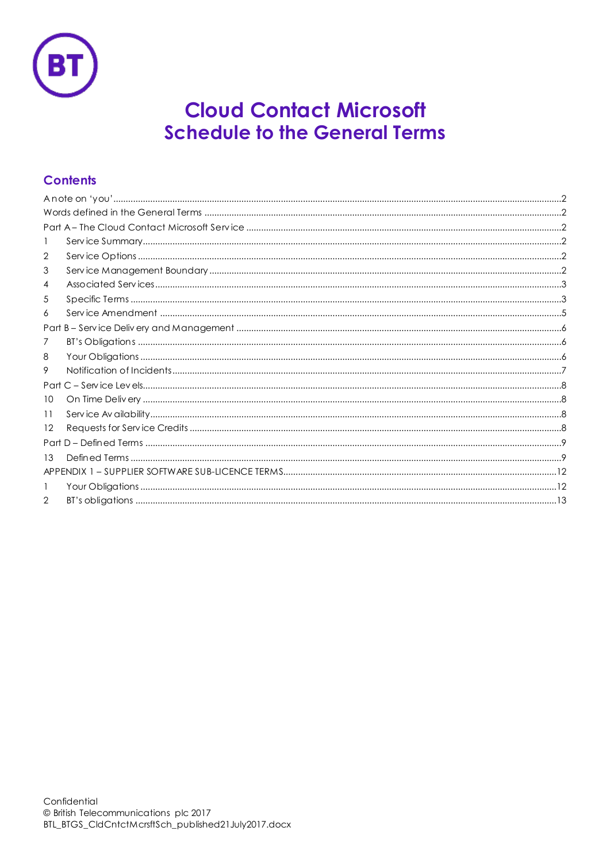

# **Cloud Contact Microsoft Schedule to the General Terms**

# **Contents**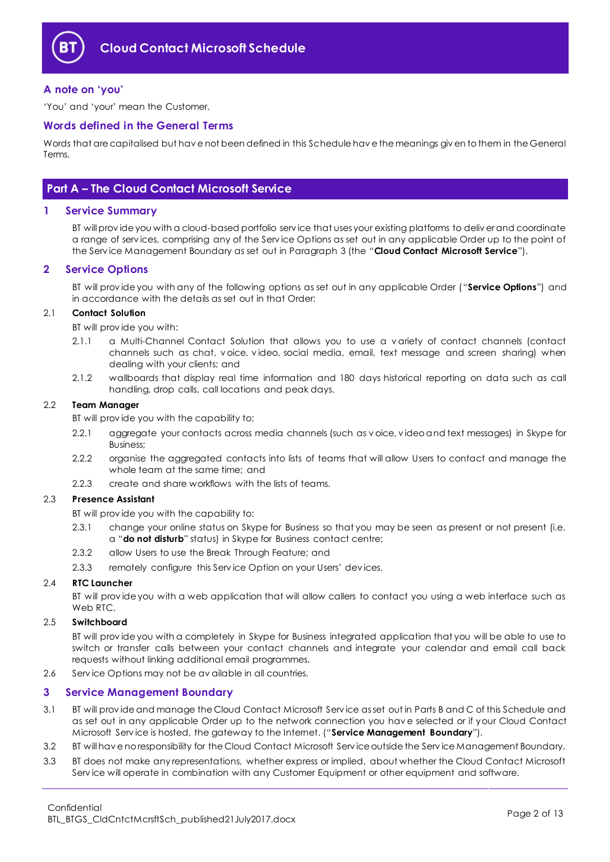

## <span id="page-1-0"></span>**A note on 'you'**

'You' and 'your' mean the Customer.

## <span id="page-1-1"></span>**Words defined in the General Terms**

Words that are capitalised but hav e not been defined in this Schedule hav e the meanings giv en to them in the General Terms.

## <span id="page-1-2"></span>**Part A – The Cloud Contact Microsoft Service**

## <span id="page-1-3"></span>**1 Service Summary**

BT will prov ide you with a cloud-based portfolio serv ice that uses your existing platforms to deliv er and coordinate a range of serv ices, comprising any of the Serv ice Options as set out in any applicable Order up to the point of the Serv ice Management Boundary as set out in Paragraph [3](#page-1-5) (the "**Cloud Contact Microsoft Service**").

## <span id="page-1-4"></span>**2 Service Options**

BT will prov ide you with any of the following options as set out in any applicable Order ("**Service Options**") and in accordance with the details as set out in that Order:

#### 2.1 **Contact Solution**

BT will prov ide you with:

- 2.1.1 a Multi-Channel Contact Solution that allows you to use a v ariety of contact channels (contact channels such as chat, v oice, v ideo, social media, email, text message and screen sharing) when dealing with your clients; and
- 2.1.2 wallboards that display real time information and 180 days historical reporting on data such as call handling, drop calls, call locations and peak days.

#### 2.2 **Team Manager**

BT will prov ide you with the capability to:

- 2.2.1 aggregate your contacts across media channels (such as v oice, v ideo and text messages) in Skype for Business;
- 2.2.2 organise the aggregated contacts into lists of teams that will allow Users to contact and manage the whole team at the same time; and
- 2.2.3 create and share workflows with the lists of teams.

#### 2.3 **Presence Assistant**

BT will prov ide you with the capability to:

- 2.3.1 change your online status on Skype for Business so that you may be seen as present or not present (i.e. a "**do not disturb**" status) in Skype for Business contact centre;
- 2.3.2 allow Users to use the Break Through Feature; and
- 2.3.3 remotely configure this Service Option on your Users' devices.

## 2.4 **RTC Launcher**

BT will prov ide you with a web application that will allow callers to contact you using a web interface such as Web RTC

## 2.5 **Switchboard**

BT will prov ide you with a completely in Skype for Business integrated application that you will be able to use to switch or transfer calls between your contact channels and integrate your calendar and email call back requests without linking additional email programmes.

2.6 Serv ice Options may not be av ailable in all countries.

## <span id="page-1-5"></span>**3 Service Management Boundary**

- <span id="page-1-6"></span>3.1 BT will prov ide and manage the Cloud Contact Microsoft Serv ice as set out in Parts B and C of this Schedule and as set out in any applicable Order up to the network connection you hav e selected or if your Cloud Contact Microsoft Serv ice is hosted, the gateway to the Internet. ("**Service Management Boundary**").
- 3.2 BT will hav e no responsibility for the Cloud Contact Microsoft Serv ice outside the Serv ice Management Boundary.
- 3.3 BT does not make any representations, whether express or implied, about whether the Cloud Contact Microsoft Serv ice will operate in combination with any Customer Equipment or other equipment and software.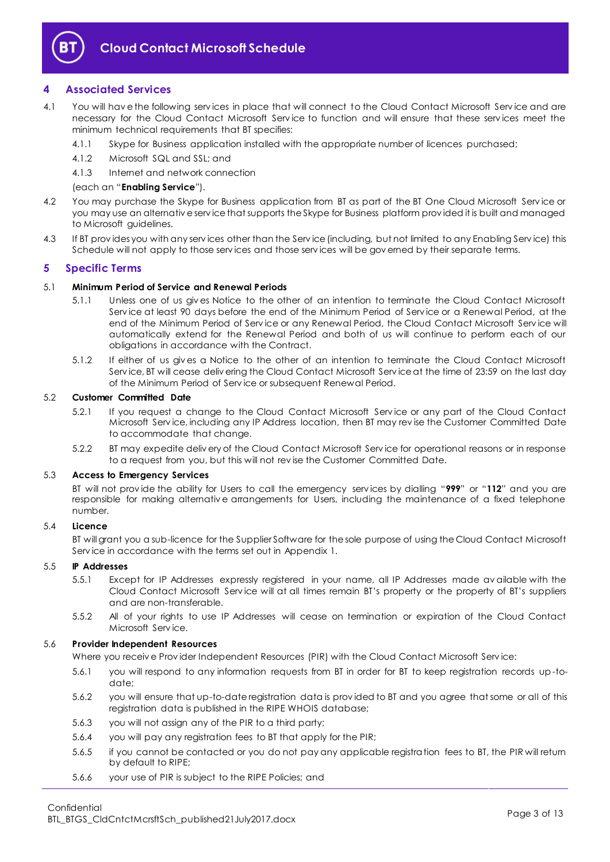

## <span id="page-2-0"></span>**4 Associated Services**

- <span id="page-2-2"></span>4.1 You will have the following services in place that will connect to the Cloud Contact Microsoft Service and are necessary for the Cloud Contact Microsoft Serv ice to function and will ensure that these serv ices meet the minimum technical requirements that BT specifies:
	- 4.1.1 Skype for Business application installed with the appropriate number of licences purchased;
	- 4.1.2 Microsoft SQL and SSL; and
	- 4.1.3 Internet and network connection

## (each an "**Enabling Service**").

- 4.2 You may purchase the Skype for Business application from BT as part of the BT One Cloud Microsoft Serv ice or you may use an alternativ e serv ice that supports the Skype for Business platform prov ided it is built and managed to Microsoft guidelines.
- 4.3 If BT prov ides you with any serv ices other than the Serv ice (including, but not limited to any Enabling Serv ice) this Schedule will not apply to those serv ices and those serv ices will be gov erned by their separate terms.

## <span id="page-2-1"></span>**5 Specific Terms**

## 5.1 **Minimum Period of Service and Renewal Periods**

- 5.1.1 Unless one of us giv es Notice to the other of an intention to terminate the Cloud Contact Microsoft Serv ice at least 90 days before the end of the Minimum Period of Serv ice or a Renewal Period, at the end of the Minimum Period of Service or any Renewal Period, the Cloud Contact Microsoft Service will automatically extend for the Renewal Period and both of us will continue to perform each of our obligations in accordance with the Contract.
- 5.1.2 If either of us giv es a Notice to the other of an intention to terminate the Cloud Contact Microsoft Serv ice, BT will cease deliv ering the Cloud Contact Microsoft Serv ice at the time of 23:59 on the last day of the Minimum Period of Serv ice or subsequent Renewal Period.

## 5.2 **Customer Committed Date**

- 5.2.1 If you request a change to the Cloud Contact Microsoft Serv ice or any part of the Cloud Contact Microsoft Serv ice, including any IP Address location, then BT may rev ise the Customer Committed Date to accommodate that change.
- 5.2.2 BT may expedite deliv ery of the Cloud Contact Microsoft Serv ice for operational reasons or in response to a request from you, but this will not rev ise the Customer Committed Date.

## 5.3 **Access to Emergency Services**

BT will not prov ide the ability for Users to call the emergency serv ices by dialling "**999**" or "**112**" and you are responsible for making alternativ e arrangements for Users, including the maintenance of a fixed telephone number.

## 5.4 **Licence**

BT will grant you a sub-licence for the Supplier Software for the sole purpose of using the Cloud Contact Microsoft Serv ice in accordance with the terms set out in Appendix 1.

## 5.5 **IP Addresses**

- 5.5.1 Except for IP Addresses expressly registered in your name, all IP Addresses made av ailable with the Cloud Contact Microsoft Serv ice will at all times remain BT's property or the property of BT's suppliers and are non-transferable.
- 5.5.2 All of your rights to use IP Addresses will cease on termination or expiration of the Cloud Contact Microsoft Serv ice.

## 5.6 **Provider Independent Resources**

Where you receiv e Prov ider Independent Resources (PIR) with the Cloud Contact Microsoft Serv ice:

- 5.6.1 you will respond to any information requests from BT in order for BT to keep registration records up-todate;
- 5.6.2 you will ensure that up-to-date registration data is prov ided to BT and you agree that some or all of this registration data is published in the RIPE WHOIS database;
- 5.6.3 you will not assign any of the PIR to a third party;
- 5.6.4 you will pay any registration fees to BT that apply for the PIR;
- 5.6.5 if you cannot be contacted or you do not pay any applicable registration fees to BT, the PIR will return by default to RIPE;
- 5.6.6 your use of PIR is subject to the RIPE Policies; and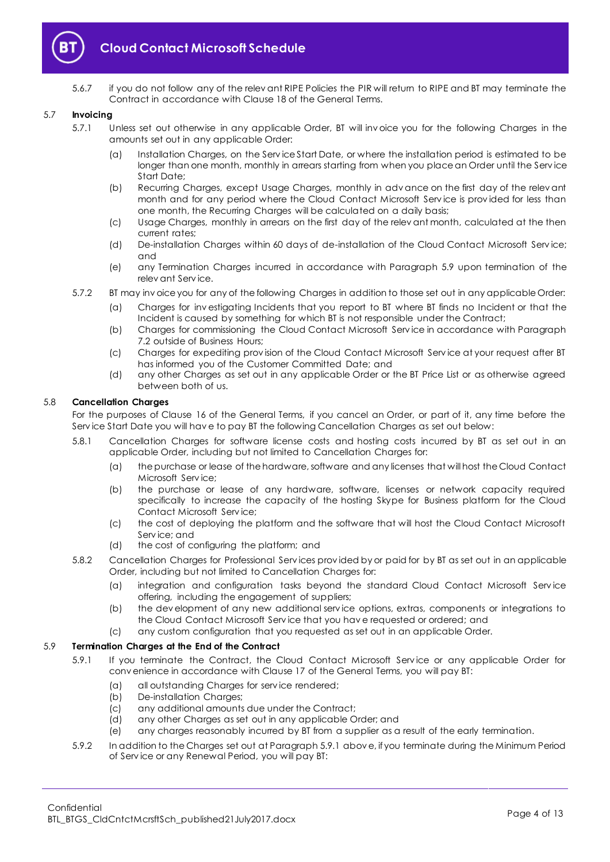

5.6.7 if you do not follow any of the relev ant RIPE Policies the PIR will return to RIPE and BT may terminate the Contract in accordance with Clause 18 of the General Terms.

#### 5.7 **Invoicing**

- 5.7.1 Unless set out otherwise in any applicable Order, BT will inv oice you for the following Charges in the amounts set out in any applicable Order:
	- (a) Installation Charges, on the Serv ice Start Date, or where the installation period is estimated to be longer than one month, monthly in arrears starting from when you place an Order until the Serv ice Start Date;
	- (b) Recurring Charges, except Usage Charges, monthly in adv ance on the first day of the relev ant month and for any period where the Cloud Contact Microsoft Service is provided for less than one month, the Recurring Charges will be calculated on a daily basis;
	- (c) Usage Charges, monthly in arrears on the first day of the relev ant month, calculated at the then current rates;
	- (d) De-installation Charges within 60 days of de-installation of the Cloud Contact Microsoft Serv ice; and
	- (e) any Termination Charges incurred in accordance with Paragraph [5.9](#page-3-0) upon termination of the relev ant Serv ice.
- 5.7.2 BT may inv oice you for any of the following Charges in addition to those set out in any applicable Order:
	- (a) Charges for inv estigating Incidents that you report to BT where BT finds no Incident or that the Incident is caused by something for which BT is not responsible under the Contract;
	- (b) Charges for commissioning the Cloud Contact Microsoft Serv ice in accordance with Paragraph [7.2](#page-5-3) outside of Business Hours;
	- (c) Charges for expediting prov ision of the Cloud Contact Microsoft Serv ice at your request after BT has informed you of the Customer Committed Date; and
	- (d) any other Charges as set out in any applicable Order or the BT Price List or as otherwise agreed between both of us.

## 5.8 **Cancellation Charges**

For the purposes of Clause 16 of the General Terms, if you cancel an Order, or part of it, any time before the Serv ice Start Date you will hav e to pay BT the following Cancellation Charges as set out below:

- 5.8.1 Cancellation Charges for software license costs and hosting costs incurred by BT as set out in an applicable Order, including but not limited to Cancellation Charges for:
	- (a) the purchase or lease of the hardware, software and any licenses that will host the Cloud Contact Microsoft Serv ice;
	- (b) the purchase or lease of any hardware, software, licenses or network capacity required specifically to increase the capacity of the hosting Skype for Business platform for the Cloud Contact Microsoft Serv ice;
	- (c) the cost of deploying the platform and the software that will host the Cloud Contact Microsoft Serv ice; and
	- (d) the cost of configuring the platform; and
- 5.8.2 Cancellation Charges for Professional Serv ices prov ided by or paid for by BT as set out in an applicable Order, including but not limited to Cancellation Charges for:
	- (a) integration and configuration tasks beyond the standard Cloud Contact Microsoft Serv ice offering, including the engagement of suppliers;
	- (b) the dev elopment of any new additional serv ice options, extras, components or integrations to the Cloud Contact Microsoft Serv ice that you hav e requested or ordered; and
	- (c) any custom configuration that you requested as set out in an applicable Order.

## <span id="page-3-1"></span><span id="page-3-0"></span>5.9 **Termination Charges at the End of the Contract**

- 5.9.1 If you terminate the Contract, the Cloud Contact Microsoft Service or any applicable Order for conv enience in accordance with Clause 17 of the General Terms, you will pay BT:
	- (a) all outstanding Charges for serv ice rendered;
	- (b) De-installation Charges;
	- (c) any additional amounts due under the Contract;
	- (d) any other Charges as set out in any applicable Order; and
	- (e) any charges reasonably incurred by BT from a supplier as a result of the early termination.
- 5.9.2 In addition to the Charges set out at Paragrap[h 5.9.1](#page-3-1) abov e, if you terminate during the Minimum Period of Serv ice or any Renewal Period, you will pay BT: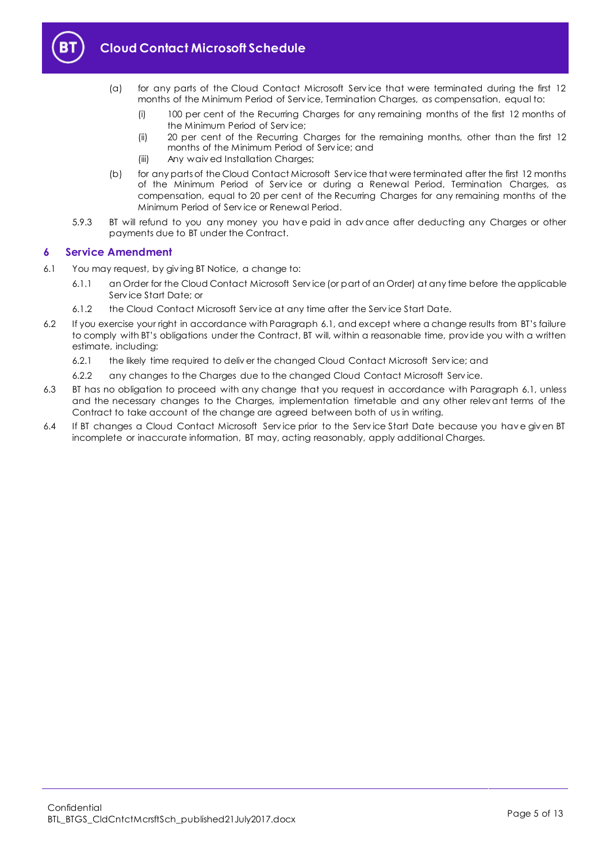

- (a) for any parts of the Cloud Contact Microsoft Serv ice that were terminated during the first 12 months of the Minimum Period of Serv ice, Termination Charges, as compensation, equal to:
	- (i) 100 per cent of the Recurring Charges for any remaining months of the first 12 months of the Minimum Period of Serv ice;
	- (ii) 20 per cent of the Recurring Charges for the remaining months, other than the first 12 months of the Minimum Period of Serv ice; and
	- (iii) Any waiv ed Installation Charges;
- (b) for any parts of the Cloud Contact Microsoft Serv ice that were terminated after the first 12 months of the Minimum Period of Serv ice or during a Renewal Period, Termination Charges, as compensation, equal to 20 per cent of the Recurring Charges for any remaining months of the Minimum Period of Serv ice or Renewal Period.
- 5.9.3 BT will refund to you any money you have paid in advance after deducting any Charges or other payments due to BT under the Contract.

## <span id="page-4-0"></span>**6 Service Amendment**

- <span id="page-4-1"></span>6.1 You may request, by giv ing BT Notice, a change to:
	- 6.1.1 an Order for the Cloud Contact Microsoft Serv ice (or part of an Order) at any time before the applicable Serv ice Start Date; or
	- 6.1.2 the Cloud Contact Microsoft Serv ice at any time after the Serv ice Start Date.
- 6.2 If you exercise your right in accordance with Paragraph [6.1](#page-4-1), and except where a change results from BT's failure to comply with BT's obligations under the Contract, BT will, within a reasonable time, prov ide you with a written estimate, including:
	- 6.2.1 the likely time required to deliv er the changed Cloud Contact Microsoft Serv ice; and
	- 6.2.2 any changes to the Charges due to the changed Cloud Contact Microsoft Serv ice.
- 6.3 BT has no obligation to proceed with any change that you request in accordance with Paragraph [6.1,](#page-4-1) unless and the necessary changes to the Charges, implementation timetable and any other relev ant terms of the Contract to take account of the change are agreed between both of us in writing.
- 6.4 If BT changes a Cloud Contact Microsoft Serv ice prior to the Serv ice Start Date because you hav e giv en BT incomplete or inaccurate information, BT may, acting reasonably, apply additional Charges.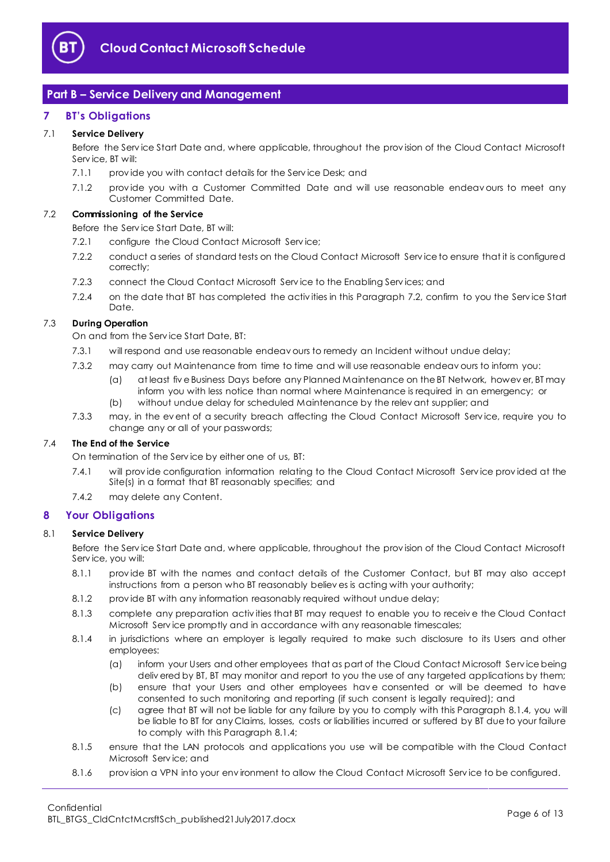

# <span id="page-5-0"></span>**Part B – Service Delivery and Management**

## <span id="page-5-1"></span>**7 BT's Obligations**

## 7.1 **Service Delivery**

Before the Serv ice Start Date and, where applicable, throughout the prov ision of the Cloud Contact Microsoft Serv ice, BT will:

- 7.1.1 provide you with contact details for the Service Desk; and
- 7.1.2 prov ide you with a Customer Committed Date and will use reasonable endeav ours to meet any Customer Committed Date.

## <span id="page-5-3"></span>7.2 **Commissioning of the Service**

Before the Serv ice Start Date, BT will:

- 7.2.1 configure the Cloud Contact Microsoft Service:
- 7.2.2 conduct a series of standard tests on the Cloud Contact Microsoft Serv ice to ensure that it is configured correctly;
- 7.2.3 connect the Cloud Contact Microsoft Serv ice to the Enabling Serv ices; and
- 7.2.4 on the date that BT has completed the activ ities in this Paragraph [7.2,](#page-5-3) confirm to you the Serv ice Start Date.

## 7.3 **During Operation**

On and from the Serv ice Start Date, BT:

- 7.3.1 will respond and use reasonable endeav ours to remedy an Incident without undue delay;
- 7.3.2 may carry out Maintenance from time to time and will use reasonable endeav ours to inform you:
	- (a) at least fiv e Business Days before any Planned Maintenance on the BT Network, howev er, BT may inform you with less notice than normal where Maintenance is required in an emergency; or
	- (b) without undue delay for scheduled Maintenance by the relev ant supplier; and
- 7.3.3 may, in the ev ent of a security breach affecting the Cloud Contact Microsoft Serv ice, require you to change any or all of your passwords;

## 7.4 **The End of the Service**

On termination of the Serv ice by either one of us, BT:

- 7.4.1 will prov ide configuration information relating to the Cloud Contact Microsoft Serv ice prov ided at the Site(s) in a format that BT reasonably specifies; and
- 7.4.2 may delete any Content.

## <span id="page-5-2"></span>**8 Your Obligations**

## 8.1 **Service Delivery**

Before the Serv ice Start Date and, where applicable, throughout the prov ision of the Cloud Contact Microsoft Serv ice, you will:

- 8.1.1 prov ide BT with the names and contact details of the Customer Contact, but BT may also accept instructions from a person who BT reasonably believ es is acting with your authority;
- 8.1.2 prov ide BT with any information reasonably required without undue delay;
- 8.1.3 complete any preparation activ ities that BT may request to enable you to receiv e the Cloud Contact Microsoft Serv ice promptly and in accordance with any reasonable timescales;
- <span id="page-5-4"></span>8.1.4 in jurisdictions where an employer is legally required to make such disclosure to its Users and other employees:
	- (a) inform your Users and other employees that as part of the Cloud Contact Microsoft Serv ice being deliv ered by BT, BT may monitor and report to you the use of any targeted applications by them;
	- (b) ensure that your Users and other employees hav e consented or will be deemed to have consented to such monitoring and reporting (if such consent is legally required); and
	- (c) agree that BT will not be liable for any failure by you to comply with this Paragraph [8.1.4,](#page-5-4) you will be liable to BT for any Claims, losses, costs or liabilities incurred or suffered by BT due to your failure to comply with this Paragrap[h 8.1.4;](#page-5-4)
- 8.1.5 ensure that the LAN protocols and applications you use will be compatible with the Cloud Contact Microsoft Serv ice; and
- 8.1.6 prov ision a VPN into your env ironment to allow the Cloud Contact Microsoft Serv ice to be configured.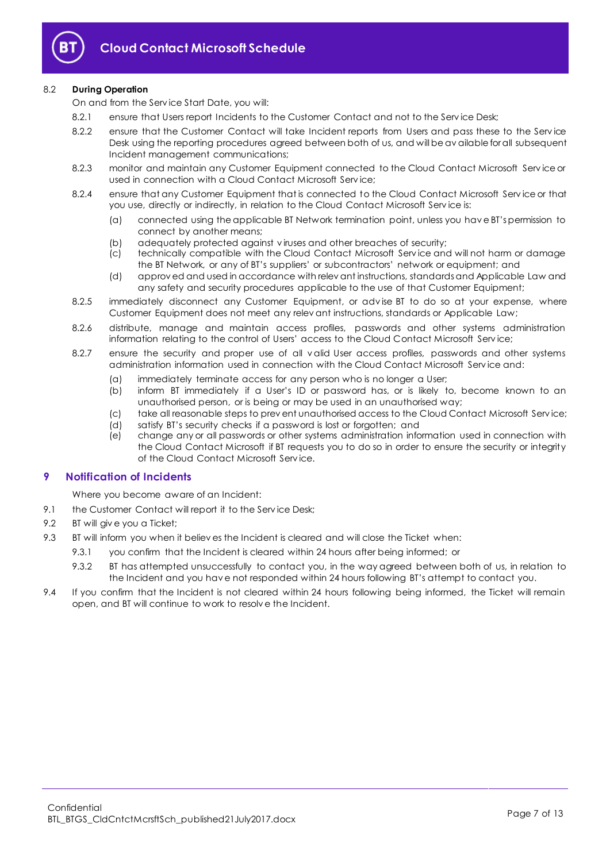

## 8.2 **During Operation**

On and from the Serv ice Start Date, you will:

- 8.2.1 ensure that Users report Incidents to the Customer Contact and not to the Service Desk;
- 8.2.2 ensure that the Customer Contact will take Incident reports from Users and pass these to the Service Desk using the reporting procedures agreed between both of us, and will be av ailable for all subsequent Incident management communications;
- 8.2.3 monitor and maintain any Customer Equipment connected to the Cloud Contact Microsoft Serv ice or used in connection with a Cloud Contact Microsoft Serv ice;
- 8.2.4 ensure that any Customer Equipment that is connected to the Cloud Contact Microsoft Service or that you use, directly or indirectly, in relation to the Cloud Contact Microsoft Serv ice is:
	- (a) connected using the applicable BT Network termination point, unless you hav e BT's permission to connect by another means;
	- (b) adequately protected against viruses and other breaches of security;<br>(c) technically compatible with the Cloud Contact Microsoft Service and
	- technically compatible with the Cloud Contact Microsoft Service and will not harm or damage the BT Network, or any of BT's suppliers' or subcontractors' network or equipment; and
	- (d) approv ed and used in accordance with relev ant instructions, standards and Applicable Law and any safety and security procedures applicable to the use of that Customer Equipment;
- 8.2.5 immediately disconnect any Customer Equipment, or adv ise BT to do so at your expense, where Customer Equipment does not meet any relev ant instructions, standards or Applicable Law;
- 8.2.6 distribute, manage and maintain access profiles, passwords and other systems administration information relating to the control of Users' access to the Cloud Contact Microsoft Serv ice;
- 8.2.7 ensure the security and proper use of all valid User access profiles, passwords and other systems administration information used in connection with the Cloud Contact Microsoft Serv ice and:
	- (a) immediately terminate access for any person who is no longer a User;
	- (b) inform BT immediately if a User's ID or password has, or is likely to, become known to an unauthorised person, or is being or may be used in an unauthorised way;
	- (c) take all reasonable steps to prev ent unauthorised access to the Cloud Contact Microsoft Serv ice;
	- (d) satisfy BT's security checks if a password is lost or forgotten; and
	- (e) change any or all passwords or other systems administration information used in connection with the Cloud Contact Microsoft if BT requests you to do so in order to ensure the security or integrity of the Cloud Contact Microsoft Serv ice.

## <span id="page-6-0"></span>**9 Notification of Incidents**

Where you become aware of an Incident:

- 9.1 the Customer Contact will report it to the Service Desk;
- 9.2 BT will give you a Ticket:
- <span id="page-6-1"></span>9.3 BT will inform you when it believ es the Incident is cleared and will close the Ticket when:
	- 9.3.1 you confirm that the Incident is cleared within 24 hours after being informed; or
		- 9.3.2 BT has attempted unsuccessfully to contact you, in the way agreed between both of us, in relation to the Incident and you hav e not responded within 24 hours following BT's attempt to contact you.
- 9.4 If you confirm that the Incident is not cleared within 24 hours following being informed, the Ticket will remain open, and BT will continue to work to resolv e the Incident.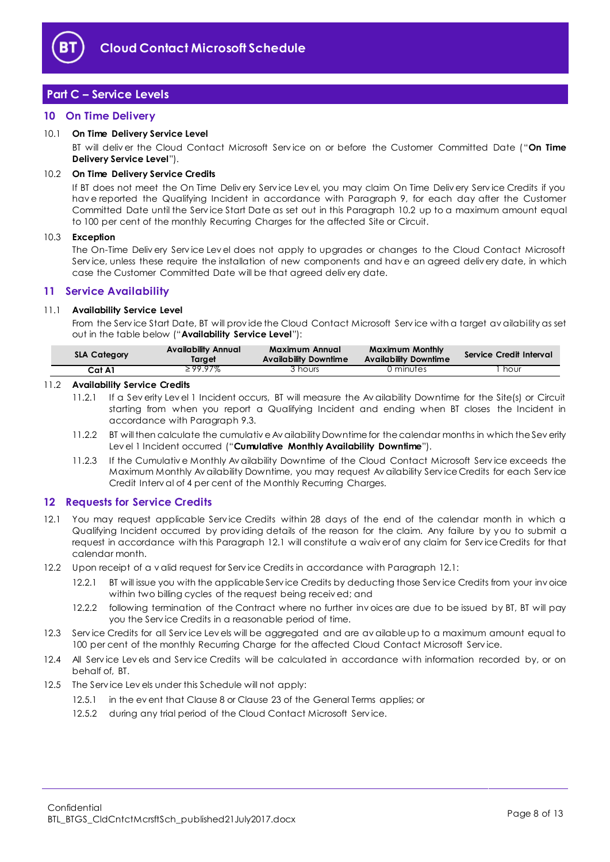

# <span id="page-7-0"></span>**Part C – Service Levels**

## <span id="page-7-1"></span>**10 On Time Delivery**

## <span id="page-7-10"></span>10.1 **On Time Delivery Service Level**

BT will deliv er the Cloud Contact Microsoft Serv ice on or before the Customer Committed Date ("**On Time Delivery Service Level**").

#### <span id="page-7-4"></span>10.2 **On Time Delivery Service Credits**

If BT does not meet the On Time Deliv ery Serv ice Lev el, you may claim On Time Deliv ery Serv ice Credits if you hav e reported the Qualifying Incident in accordance with Paragraph [9,](#page-6-0) for each day after the Customer Committed Date until the Serv ice Start Date as set out in this Paragraph [10.2](#page-7-4) up to a maximum amount equal to 100 per cent of the monthly Recurring Charges for the affected Site or Circuit.

#### 10.3 **Exception**

The On-Time Deliv ery Serv ice Lev el does not apply to upgrades or changes to the Cloud Contact Microsoft Serv ice, unless these require the installation of new components and hav e an agreed deliv ery date, in which case the Customer Committed Date will be that agreed deliv ery date.

## <span id="page-7-2"></span>**11 Service Availability**

## <span id="page-7-6"></span>11.1 **Availability Service Level**

From the Serv ice Start Date, BT will prov ide the Cloud Contact Microsoft Serv ice with a target av ailability as set out in the table below ("**Availability Service Level**"):

| <b>SLA Category</b> | <b>Availability Annual</b><br>larget | Maximum Annual<br><b>Availability Downtime</b> | Maximum Monthly<br><b>Availability Downtime</b> | Service Credit Interval |
|---------------------|--------------------------------------|------------------------------------------------|-------------------------------------------------|-------------------------|
| Cat A1              | $\geq$ 99.97%                        | 3 hours                                        | 0 minutes                                       | hour                    |

## <span id="page-7-7"></span>11.2 **Availability Service Credits**

- 11.2.1 If a Sev erity Lev el 1 Incident occurs, BT will measure the Av ailability Downtime for the Site(s) or Circuit starting from when you report a Qualifying Incident and ending when BT closes the Incident in accordance with Paragrap[h 9.3.](#page-6-1)
- <span id="page-7-9"></span>11.2.2 BT will then calculate the cumulativ e Av ailability Downtime for the calendar months in which the Sev erity Lev el 1 Incident occurred ("**Cumulative Monthly Availability Downtime**").
- <span id="page-7-8"></span>11.2.3 If the Cumulativ e Monthly Av ailability Downtime of the Cloud Contact Microsoft Serv ice exceeds the Maximum Monthly Av ailability Downtime, you may request Av ailability Serv ice Credits for each Serv ice Credit Interv al of 4 per cent of the Monthly Recurring Charges.

## <span id="page-7-3"></span>**12 Requests for Service Credits**

- <span id="page-7-5"></span>12.1 You may request applicable Serv ice Credits within 28 days of the end of the calendar month in which a Qualifying Incident occurred by prov iding details of the reason for the claim. Any failure by you to submit a request in accordance with this Paragraph [12.1](#page-7-5) will constitute a waiv er of any claim for Serv ice Credits for that calendar month.
- 12.2 Upon receipt of a v alid request for Serv ice Credits in accordance with Paragrap[h 12.1:](#page-7-5)
	- 12.2.1 BT will issue you with the applicable Serv ice Credits by deducting those Serv ice Credits from your inv oice within two billing cycles of the request being receiv ed; and
	- 12.2.2 following termination of the Contract where no further inv oices are due to be issued by BT, BT will pay you the Serv ice Credits in a reasonable period of time.
- 12.3 Service Credits for all Service Levels will be aggregated and are av ailable up to a maximum amount equal to 100 per cent of the monthly Recurring Charge for the affected Cloud Contact Microsoft Service.
- 12.4 All Service Lev els and Service Credits will be calculated in accordance with information recorded by, or on behalf of, BT.
- 12.5 The Serv ice Lev els under this Schedule will not apply:
	- 12.5.1 in the ev ent that Clause 8 or Clause 23 of the General Terms applies; or
	- 12.5.2 during any trial period of the Cloud Contact Microsoft Service.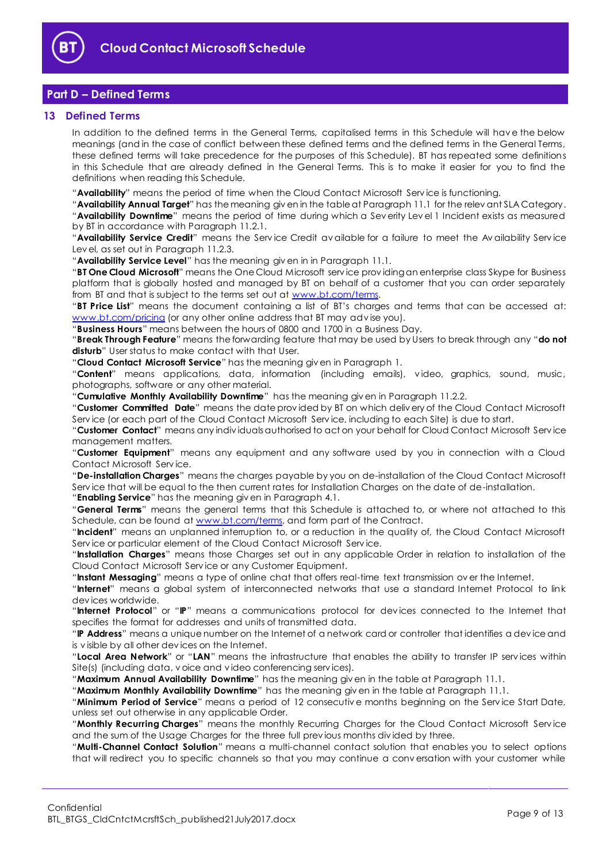

# <span id="page-8-0"></span>**Part D – Defined Terms**

## <span id="page-8-1"></span>**13 Defined Terms**

In addition to the defined terms in the General Terms, capitalised terms in this Schedule will hav e the below meanings (and in the case of conflict between these defined terms and the defined terms in the General Terms, these defined terms will take precedence for the purposes of this Schedule). BT has repeated some definitions in this Schedule that are already defined in the General Terms. This is to make it easier for you to find the definitions when reading this Schedule.

"**Availability**" means the period of time when the Cloud Contact Microsoft Serv ice is functioning.

"**Availability Annual Target**" has the meaning giv en in the table at Paragraph [11.1](#page-7-6) for the relev ant SLA Category. "**Availability Downtime**" means the period of time during which a Sev erity Lev el 1 Incident exists as measured by BT in accordance with Paragraph [11.2.1.](#page-7-7)

"**Availability Service Credit**" means the Serv ice Credit av ailable for a failure to meet the Av ailability Serv ice Lev el, as set out in Paragraph [11.2.3.](#page-7-8)

"**Availability Service Level**" has the meaning giv en in in Paragraph [11.1.](#page-7-6)

"**BT One Cloud Microsoft**" means the One Cloud Microsoft serv ice prov iding an enterprise class Skype for Business platform that is globally hosted and managed by BT on behalf of a customer that you can order separately from BT and that is subject to the terms set out at [www.bt.com/terms.](http://www.bt.com/terms)

"**BT Price List**" means the document containing a list of BT's charges and terms that can be accessed at: [www.bt.com/pricing](http://www.bt.com/pricing) (or any other online address that BT may advise you).

"**Business Hours**" means between the hours of 0800 and 1700 in a Business Day.

"**Break Through Feature**" means the forwarding feature that may be used by Users to break through any "**do not**  disturb" User status to make contact with that User.

"**Cloud Contact Microsoft Service**" has the meaning giv en in Paragraph [1.](#page-1-3)

"**Content**" means applications, data, information (including emails), v ideo, graphics, sound, music, photographs, software or any other material.

"**Cumulative Monthly Availability Downtime**" has the meaning giv en in Paragrap[h 11.2.2.](#page-7-9)

"**Customer Committed Date**" means the date prov ided by BT on which deliv ery of the Cloud Contact Microsoft Serv ice (or each part of the Cloud Contact Microsoft Serv ice, including to each Site) is due to start.

"**Customer Contact**" means any indiv iduals authorised to act on your behalf for Cloud Contact Microsoft Serv ice management matters.

"**Customer Equipment**" means any equipment and any software used by you in connection with a Cloud Contact Microsoft Serv ice.

"**De-installation Charges**" means the charges payable by you on de-installation of the Cloud Contact Microsoft Serv ice that will be equal to the then current rates for Installation Charges on the date of de-installation.

"**Enabling Service**" has the meaning giv en in Paragrap[h 4.1.](#page-2-2)

"**General Terms**" means the general terms that this Schedule is attached to, or where not attached to this Schedule, can be found at [www.bt.com/terms,](http://www.bt.com/terms) and form part of the Contract.

"**Incident**" means an unplanned interruption to, or a reduction in the quality of, the Cloud Contact Microsoft Serv ice or particular element of the Cloud Contact Microsoft Serv ice.

"**Installation Charges**" means those Charges set out in any applicable Order in relation to installation of the Cloud Contact Microsoft Serv ice or any Customer Equipment.

"**Instant Messaging**" means a type of online chat that offers real-time text transmission ov er the Internet.

"**Internet**" means a global system of interconnected networks that use a standard Internet Protocol to link dev ices worldwide.

"**Internet Protocol**" or "**IP**" means a communications protocol for dev ices connected to the Internet that specifies the format for addresses and units of transmitted data.

"**IP Address**" means a unique number on the Internet of a network card or controller that identifies a dev ice and is v isible by all other dev ices on the Internet.

"**Local Area Network**" or "**LAN**" means the infrastructure that enables the ability to transfer IP serv ices within Site(s) (including data, v oice and v ideo conferencing serv ices).

"**Maximum Annual Availability Downtime**" has the meaning giv en in the table at Paragrap[h 11.1.](#page-7-6)

"**Maximum Monthly Availability Downtime**" has the meaning giv en in the table at Paragrap[h 11.1.](#page-7-6)

"**Minimum Period of Service**" means a period of 12 consecutiv e months beginning on the Serv ice Start Date, unless set out otherwise in any applicable Order.

"**Monthly Recurring Charges**" means the monthly Recurring Charges for the Cloud Contact Microsoft Serv ice and the sum of the Usage Charges for the three full prev ious months div ided by three.

"**Multi-Channel Contact Solution**" means a multi-channel contact solution that enables you to select options that will redirect you to specific channels so that you may continue a conv ersation with your customer while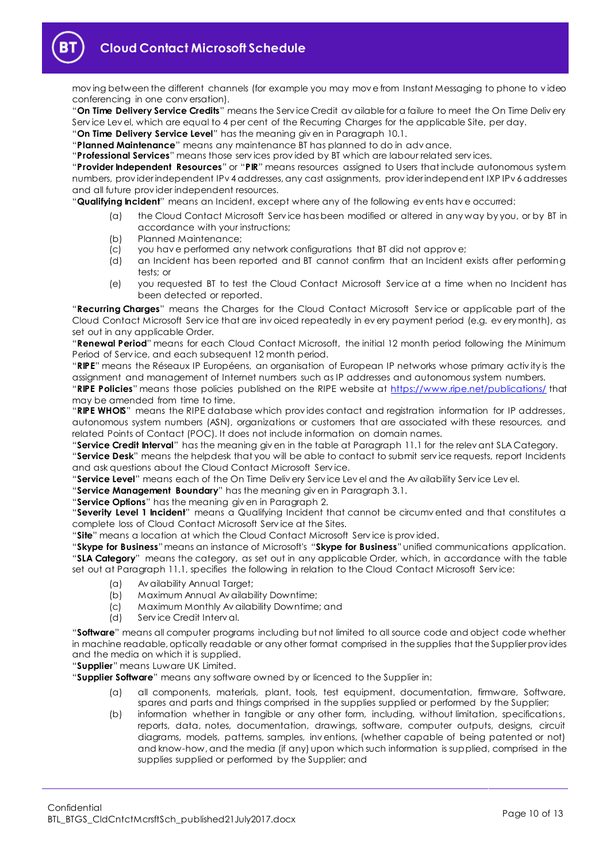mov ing between the different channels (for example you may mov e from Instant Messaging to phone to v ideo conferencing in one conv ersation).

"**On Time Delivery Service Credits**" means the Serv ice Credit av ailable for a failure to meet the On Time Deliv ery Service Level, which are equal to 4 per cent of the Recurring Charges for the applicable Site, per day.

"**On Time Delivery Service Level**" has the meaning giv en in Paragrap[h 10.1.](#page-7-10)

"**Planned Maintenance**" means any maintenance BT has planned to do in adv ance.

"**Professional Services**" means those serv ices prov ided by BT which are labour related serv ices.

"**Provider Independent Resources**" or "**PIR**" means resources assigned to Users that include autonomous system numbers, prov ider independent IPv 4 addresses, any cast assignments, prov ider independent IXP IPv 6 addresses and all future prov ider independent resources.

"**Qualifying Incident**" means an Incident, except where any of the following ev ents hav e occurred:

- (a) the Cloud Contact Microsoft Serv ice has been modified or altered in any way by you, or by BT in accordance with your instructions;
- (b) Planned Maintenance;
- (c) you hav e performed any network configurations that BT did not approv e;
- (d) an Incident has been reported and BT cannot confirm that an Incident exists after performing tests; or
- (e) you requested BT to test the Cloud Contact Microsoft Serv ice at a time when no Incident has been detected or reported.

"**Recurring Charges**" means the Charges for the Cloud Contact Microsoft Serv ice or applicable part of the Cloud Contact Microsoft Service that are invoiced repeatedly in every payment period (e.g. every month), as set out in any applicable Order.

"**Renewal Period**" means for each Cloud Contact Microsoft, the initial 12 month period following the Minimum Period of Serv ice, and each subsequent 12 month period.

"**RIPE**" means the Réseaux IP Européens, an organisation of European IP networks whose primary activ ity is the assignment and management of Internet numbers such as IP addresses and autonomous system numbers. "**RIPE Policies**" means those policies published on the RIPE website at<https://www.ripe.net/publications/> that

may be amended from time to time.

"**RIPE WHOIS**" means the RIPE database which prov ides contact and registration information for IP addresses, autonomous system numbers (ASN), organizations or customers that are associated with these resources, and related Points of Contact (POC). It does not include information on domain names.

"**Service Credit Interval**" has the meaning giv en in the table at Paragraph [11.1](#page-7-6) for the relev ant SLA Category. "**Service Desk**" means the helpdesk that you will be able to contact to submit serv ice requests, report Incidents and ask questions about the Cloud Contact Microsoft Serv ice.

"**Service Level**" means each of the On Time Deliv ery Serv ice Lev el and the Av ailability Serv ice Lev el.

"**Service Management Boundary**" has the meaning giv en in Paragraph [3.1.](#page-1-6)

"**Service Options**" has the meaning giv en in Paragrap[h 2.](#page-1-4)

"**Severity Level 1 Incident**" means a Qualifying Incident that cannot be circumv ented and that constitutes a complete loss of Cloud Contact Microsoft Serv ice at the Sites.

"**Site**" means a location at which the Cloud Contact Microsoft Serv ice is prov ided.

"**Skype for Business**"means an instance of Microsoft's "**Skype for Business**" unified communications application. "**SLA Category**" means the category, as set out in any applicable Order, which, in accordance with the table set out at Paragrap[h 11.1,](#page-7-6) specifies the following in relation to the Cloud Contact Microsoft Service:

- (a) Av ailability Annual Target;
- (b) Maximum Annual Av ailability Downtime;
- (c) Maximum Monthly Av ailability Downtime; and
- (d) Serv ice Credit Interv al.

"**Software**" means all computer programs including but not limited to all source code and object code whether in machine readable, optically readable or any other format comprised in the supplies that the Supplier prov ides and the media on which it is supplied.

"**Supplier**" means Luware UK Limited.

"**Supplier Software**" means any software owned by or licenced to the Supplier in:

- (a) all components, materials, plant, tools, test equipment, documentation, firmware, Software, spares and parts and things comprised in the supplies supplied or performed by the Supplier;
- (b) information whether in tangible or any other form, including, without limitation, specifications, reports, data, notes, documentation, drawings, software, computer outputs, designs, circuit diagrams, models, patterns, samples, inv entions, (whether capable of being patented or not) and know-how, and the media (if any) upon which such information is supplied, comprised in the supplies supplied or performed by the Supplier; and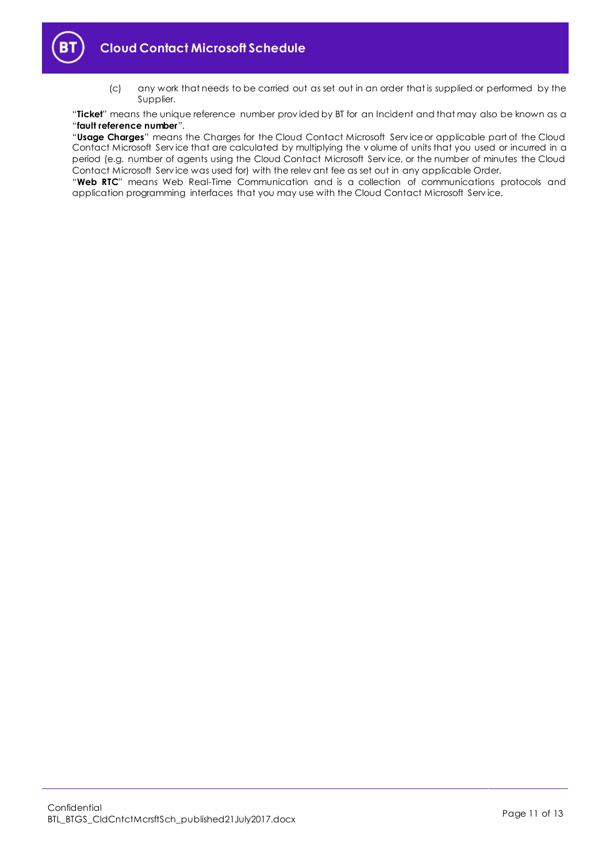

(c) any work that needs to be carried out as set out in an order that is supplied or performed by the Supplier.

"**Ticket**" means the unique reference number prov ided by BT for an Incident and that may also be known as a "**fault reference number**".

"**Usage Charges**" means the Charges for the Cloud Contact Microsoft Serv ice or applicable part of the Cloud Contact Microsoft Serv ice that are calculated by multiplying the v olume of units that you used or incurred in a period (e.g. number of agents using the Cloud Contact Microsoft Serv ice, or the number of minutes the Cloud Contact Microsoft Serv ice was used for) with the relev ant fee as set out in any applicable Order.

"**Web RTC**" means Web Real-Time Communication and is a collection of communications protocols and application programming interfaces that you may use with the Cloud Contact Microsoft Serv ice.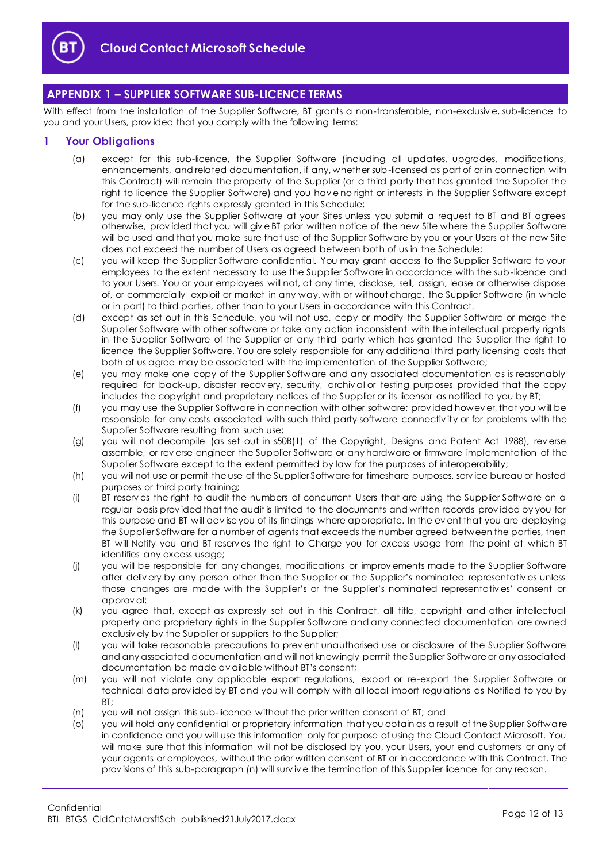

# <span id="page-11-0"></span>**APPENDIX 1 – SUPPLIER SOFTWARE SUB-LICENCE TERMS**

With effect from the installation of the Supplier Software, BT grants a non-transferable, non-exclusive, sub-licence to you and your Users, prov ided that you comply with the following terms:

## <span id="page-11-1"></span>**1 Your Obligations**

- (a) except for this sub-licence, the Supplier Software (including all updates, upgrades, modifications, enhancements, and related documentation, if any, whether sub-licensed as part of or in connection with this Contract) will remain the property of the Supplier (or a third party that has granted the Supplier the right to licence the Supplier Software) and you have no right or interests in the Supplier Software except for the sub-licence rights expressly granted in this Schedule;
- (b) you may only use the Supplier Software at your Sites unless you submit a request to BT and BT agrees otherwise, prov ided that you will giv e BT prior written notice of the new Site where the Supplier Software will be used and that you make sure that use of the Supplier Software by you or your Users at the new Site does not exceed the number of Users as agreed between both of us in the Schedule;
- (c) you will keep the Supplier Software confidential. You may grant access to the Supplier Software to your employees to the extent necessary to use the Supplier Software in accordance with the sub-licence and to your Users. You or your employees will not, at any time, disclose, sell, assign, lease or otherwise dispose of, or commercially exploit or market in any way, with or without charge, the Supplier Software (in whole or in part) to third parties, other than to your Users in accordance with this Contract.
- (d) except as set out in this Schedule, you will not use, copy or modify the Supplier Software or merge the Supplier Software with other software or take any action inconsistent with the intellectual property rights in the Supplier Software of the Supplier or any third party which has granted the Supplier the right to licence the Supplier Software. You are solely responsible for any additional third party licensing costs that both of us agree may be associated with the implementation of the Supplier Software;
- (e) you may make one copy of the Supplier Software and any associated documentation as is reasonably required for back-up, disaster recov ery, security, archiv al or testing purposes prov ided that the copy includes the copyright and proprietary notices of the Supplier or its licensor as notified to you by BT;
- (f) you may use the Supplier Software in connection with other software; prov ided howev er, that you will be responsible for any costs associated with such third party software connectiv ity or for problems with the Supplier Software resulting from such use;
- (g) you will not decompile (as set out in s50B(1) of the Copyright, Designs and Patent Act 1988), rev erse assemble, or rev erse engineer the Supplier Software or any hardware or firmware implementation of the Supplier Software except to the extent permitted by law for the purposes of interoperability;
- (h) you will not use or permit the use of the Supplier Software for timeshare purposes, serv ice bureau or hosted purposes or third party training;
- (i) BT reserv es the right to audit the numbers of concurrent Users that are using the Supplier Software on a regular basis prov ided that the audit is limited to the documents and written records prov ided by you for this purpose and BT will adv ise you of its findings where appropriate. In the ev ent that you are deploying the Supplier Software for a number of agents that exceeds the number agreed between the parties, then BT will Notify you and BT reserv es the right to Charge you for excess usage from the point at which BT identifies any excess usage;
- (j) you will be responsible for any changes, modifications or improv ements made to the Supplier Software after deliv ery by any person other than the Supplier or the Supplier's nominated representativ es unless those changes are made with the Supplier's or the Supplier's nominated representativ es' consent or approv al;
- (k) you agree that, except as expressly set out in this Contract, all title, copyright and other intellectual property and proprietary rights in the Supplier Softw are and any connected documentation are owned exclusiv ely by the Supplier or suppliers to the Supplier;
- (l) you will take reasonable precautions to prev ent unauthorised use or disclosure of the Supplier Software and any associated documentation and will not knowingly permit the Supplier Software or any associated documentation be made av ailable without BT's consent;
- (m) you will not v iolate any applicable export regulations, export or re-export the Supplier Software or technical data prov ided by BT and you will comply with all local import regulations as Notified to you by BT;
- (n) you will not assign this sub-licence without the prior written consent of BT; and
- (o) you will hold any confidential or proprietary information that you obtain as a result of the Supplier Software in confidence and you will use this information only for purpose of using the Cloud Contact Microsoft. You will make sure that this information will not be disclosed by you, your Users, your end customers or any of your agents or employees, without the prior written consent of BT or in accordance with this Contract. The prov isions of this sub-paragraph (n) will surv iv e the termination of this Supplier licence for any reason.